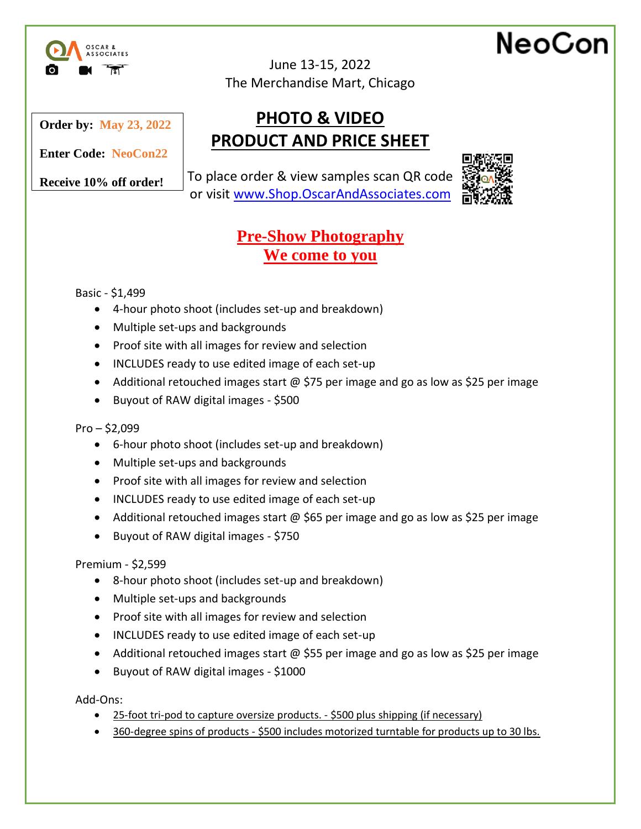

June 13-15, 2022 The Merchandise Mart, Chicago

#### **Order by: May 23, 2022**

**PRODUCT AND PRICE SHEET Enter Code: NeoCon22**

**Receive 10% off order!** 

To place order & view samples scan QR code or visit [www.Shop.OscarAndAssociates.com](https://shop.oscarandassociates.com/)

**PHOTO & VIDEO**



NeoCon

## **Pre-Show Photography We come to you**

Basic - \$1,499

- 4-hour photo shoot (includes set-up and breakdown)
- Multiple set-ups and backgrounds
- Proof site with all images for review and selection
- INCLUDES ready to use edited image of each set-up
- Additional retouched images start @ \$75 per image and go as low as \$25 per image
- Buyout of RAW digital images \$500

 $Pro - $2,099$ 

- 6-hour photo shoot (includes set-up and breakdown)
- Multiple set-ups and backgrounds
- Proof site with all images for review and selection
- INCLUDES ready to use edited image of each set-up
- Additional retouched images start @ \$65 per image and go as low as \$25 per image
- Buyout of RAW digital images \$750

Premium - \$2,599

- 8-hour photo shoot (includes set-up and breakdown)
- Multiple set-ups and backgrounds
- Proof site with all images for review and selection
- INCLUDES ready to use edited image of each set-up
- Additional retouched images start @ \$55 per image and go as low as \$25 per image
- Buyout of RAW digital images \$1000

Add-Ons:

- 25-foot tri-pod to capture oversize products. \$500 plus shipping (if necessary)
- 360-degree spins of products \$500 includes motorized turntable for products up to 30 lbs.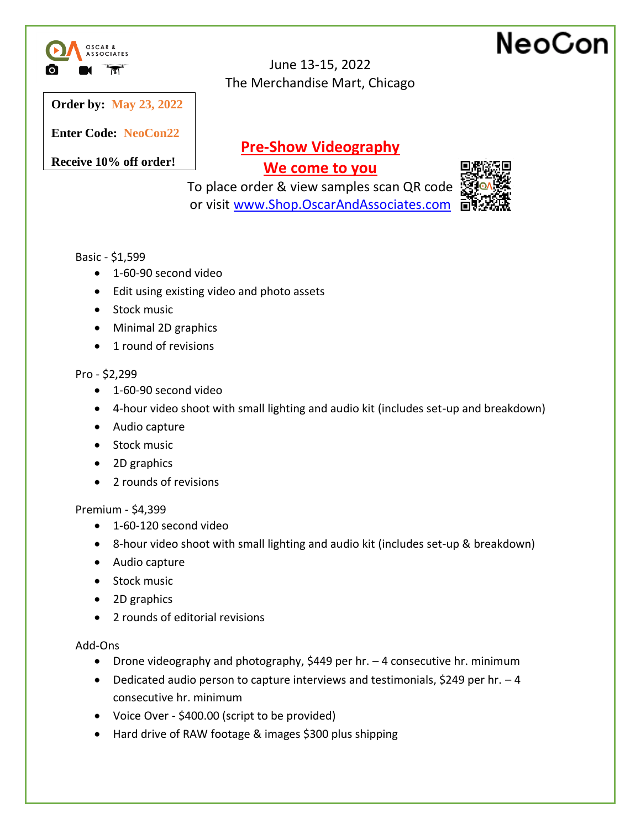

## NeoCon

**Order by: May 23, 2022**

**Enter Code: NeoCon22**

**Receive 10% off order!** 

## **Pre-Show Videography**

June 13-15, 2022 The Merchandise Mart, Chicago

**We come to you**

To place order & view samples scan QR code or visit [www.Shop.OscarAndAssociates.com](https://shop.oscarandassociates.com/)



#### Basic - \$1,599

- 1-60-90 second video
- Edit using existing video and photo assets
- Stock music
- Minimal 2D graphics
- 1 round of revisions

#### Pro - \$2,299

- 1-60-90 second video
- 4-hour video shoot with small lighting and audio kit (includes set-up and breakdown)
- Audio capture
- Stock music
- 2D graphics
- 2 rounds of revisions

#### Premium - \$4,399

- 1-60-120 second video
- 8-hour video shoot with small lighting and audio kit (includes set-up & breakdown)
- Audio capture
- Stock music
- 2D graphics
- 2 rounds of editorial revisions

#### Add-Ons

- Drone videography and photography, \$449 per hr. 4 consecutive hr. minimum
- Dedicated audio person to capture interviews and testimonials, \$249 per hr.  $-4$ consecutive hr. minimum
- Voice Over \$400.00 (script to be provided)
- Hard drive of RAW footage & images \$300 plus shipping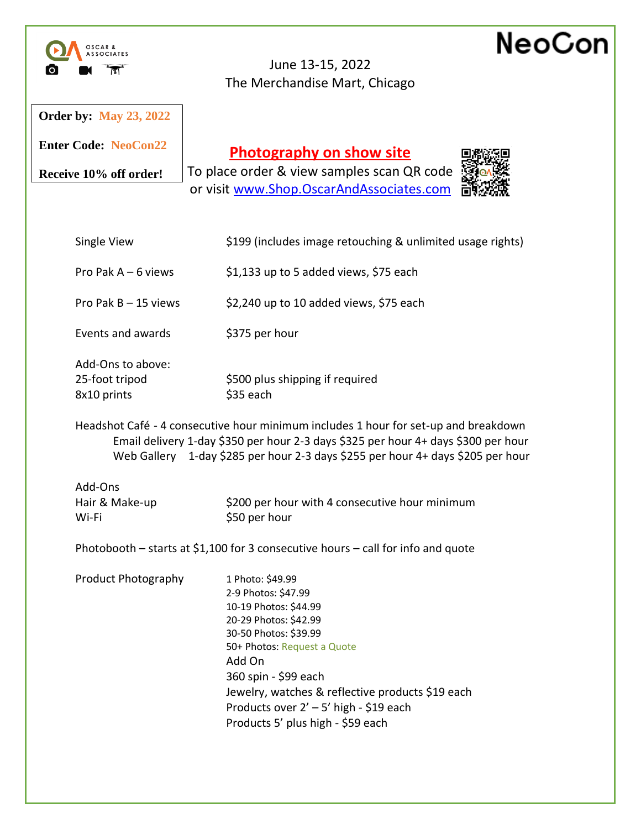|                                                    | NeoCor<br>June 13-15, 2022<br>The Merchandise Mart, Chicago                                                                                                                                                                                                                                                            |
|----------------------------------------------------|------------------------------------------------------------------------------------------------------------------------------------------------------------------------------------------------------------------------------------------------------------------------------------------------------------------------|
| <b>Order by: May 23, 2022</b>                      |                                                                                                                                                                                                                                                                                                                        |
| <b>Enter Code: NeoCon22</b>                        | <b>Photography on show site</b>                                                                                                                                                                                                                                                                                        |
| Receive 10% off order!                             | To place order & view samples scan QR code<br>or visit www.Shop.OscarAndAssociates.com                                                                                                                                                                                                                                 |
| Single View                                        | \$199 (includes image retouching & unlimited usage rights)                                                                                                                                                                                                                                                             |
| Pro Pak $A - 6$ views                              | \$1,133 up to 5 added views, \$75 each                                                                                                                                                                                                                                                                                 |
| Pro Pak $B - 15$ views                             | \$2,240 up to 10 added views, \$75 each                                                                                                                                                                                                                                                                                |
| Events and awards                                  | \$375 per hour                                                                                                                                                                                                                                                                                                         |
| Add-Ons to above:<br>25-foot tripod<br>8x10 prints | \$500 plus shipping if required<br>\$35 each                                                                                                                                                                                                                                                                           |
|                                                    | Headshot Café - 4 consecutive hour minimum includes 1 hour for set-up and breakdown<br>Email delivery 1-day \$350 per hour 2-3 days \$325 per hour 4+ days \$300 per hour<br>Web Gallery 1-day \$285 per hour 2-3 days \$255 per hour 4+ days \$205 per hour                                                           |
| Add-Ons                                            |                                                                                                                                                                                                                                                                                                                        |
| Hair & Make-up<br>Wi-Fi                            | \$200 per hour with 4 consecutive hour minimum<br>\$50 per hour                                                                                                                                                                                                                                                        |
|                                                    | Photobooth – starts at \$1,100 for 3 consecutive hours – call for info and quote                                                                                                                                                                                                                                       |
| <b>Product Photography</b>                         | 1 Photo: \$49.99<br>2-9 Photos: \$47.99<br>10-19 Photos: \$44.99<br>20-29 Photos: \$42.99<br>30-50 Photos: \$39.99<br>50+ Photos: Request a Quote<br>Add On<br>360 spin - \$99 each<br>Jewelry, watches & reflective products \$19 each<br>Products over 2' - 5' high - \$19 each<br>Products 5' plus high - \$59 each |
|                                                    |                                                                                                                                                                                                                                                                                                                        |